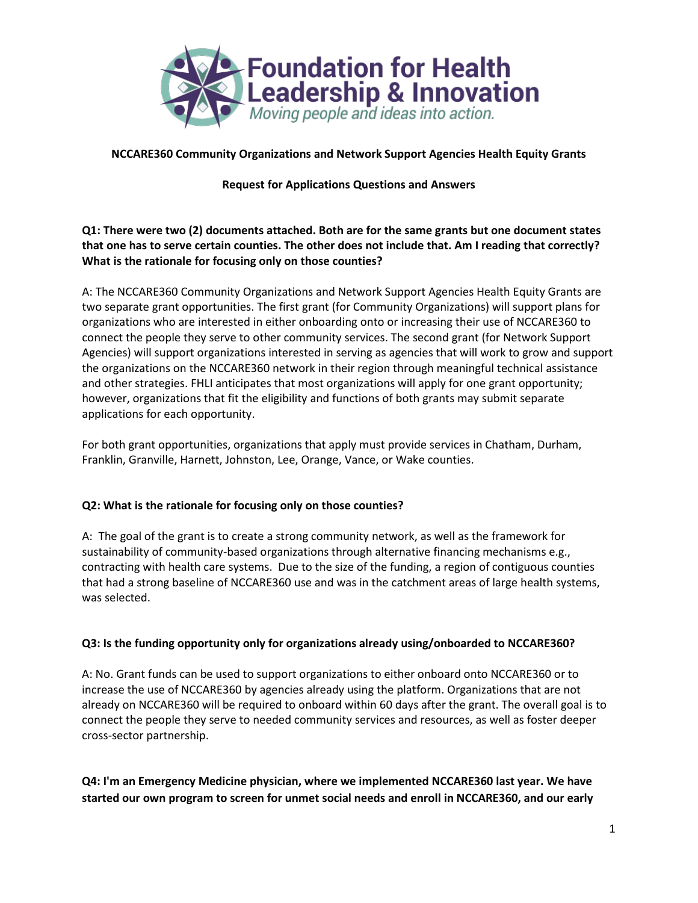

**NCCARE360 Community Organizations and Network Support Agencies Health Equity Grants**

#### **Request for Applications Questions and Answers**

## **Q1: There were two (2) documents attached. Both are for the same grants but one document states that one has to serve certain counties. The other does not include that. Am I reading that correctly? What is the rationale for focusing only on those counties?**

A: The NCCARE360 Community Organizations and Network Support Agencies Health Equity Grants are two separate grant opportunities. The first grant (for Community Organizations) will support plans for organizations who are interested in either onboarding onto or increasing their use of NCCARE360 to connect the people they serve to other community services. The second grant (for Network Support Agencies) will support organizations interested in serving as agencies that will work to grow and support the organizations on the NCCARE360 network in their region through meaningful technical assistance and other strategies. FHLI anticipates that most organizations will apply for one grant opportunity; however, organizations that fit the eligibility and functions of both grants may submit separate applications for each opportunity.

For both grant opportunities, organizations that apply must provide services in Chatham, Durham, Franklin, Granville, Harnett, Johnston, Lee, Orange, Vance, or Wake counties.

## **Q2: What is the rationale for focusing only on those counties?**

A: The goal of the grant is to create a strong community network, as well as the framework for sustainability of community-based organizations through alternative financing mechanisms e.g., contracting with health care systems. Due to the size of the funding, a region of contiguous counties that had a strong baseline of NCCARE360 use and was in the catchment areas of large health systems, was selected.

## **Q3: Is the funding opportunity only for organizations already using/onboarded to NCCARE360?**

A: No. Grant funds can be used to support organizations to either onboard onto NCCARE360 or to increase the use of NCCARE360 by agencies already using the platform. Organizations that are not already on NCCARE360 will be required to onboard within 60 days after the grant. The overall goal is to connect the people they serve to needed community services and resources, as well as foster deeper cross-sector partnership.

**Q4: I'm an Emergency Medicine physician, where we implemented NCCARE360 last year. We have started our own program to screen for unmet social needs and enroll in NCCARE360, and our early**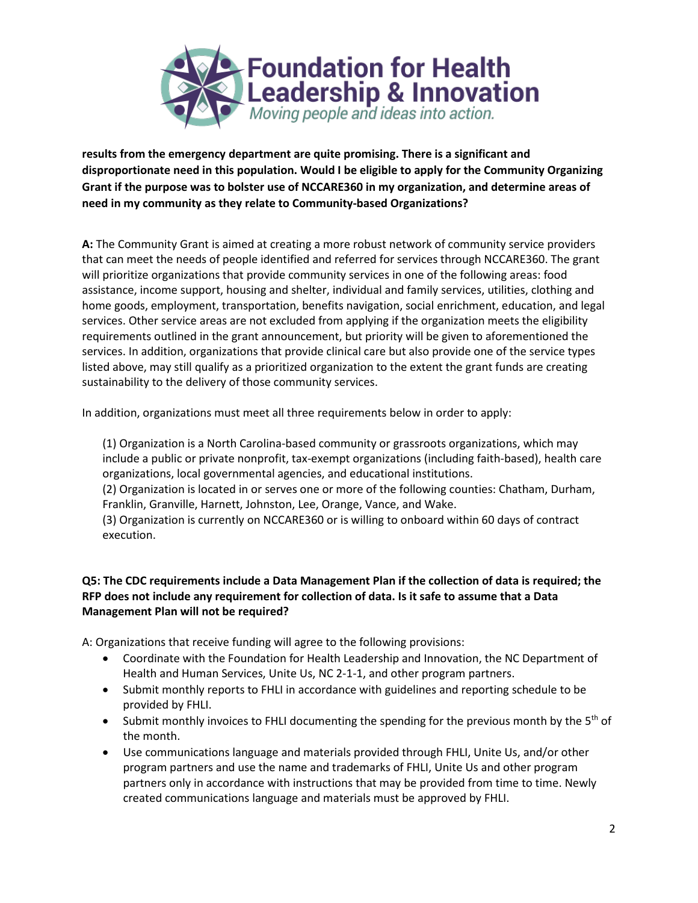

**results from the emergency department are quite promising. There is a significant and disproportionate need in this population. Would I be eligible to apply for the Community Organizing Grant if the purpose was to bolster use of NCCARE360 in my organization, and determine areas of need in my community as they relate to Community-based Organizations?**

**A:** The Community Grant is aimed at creating a more robust network of community service providers that can meet the needs of people identified and referred for services through NCCARE360. The grant will prioritize organizations that provide community services in one of the following areas: food assistance, income support, housing and shelter, individual and family services, utilities, clothing and home goods, employment, transportation, benefits navigation, social enrichment, education, and legal services. Other service areas are not excluded from applying if the organization meets the eligibility requirements outlined in the grant announcement, but priority will be given to aforementioned the services. In addition, organizations that provide clinical care but also provide one of the service types listed above, may still qualify as a prioritized organization to the extent the grant funds are creating sustainability to the delivery of those community services.

In addition, organizations must meet all three requirements below in order to apply:

(1) Organization is a North Carolina-based community or grassroots organizations, which may include a public or private nonprofit, tax-exempt organizations (including faith-based), health care organizations, local governmental agencies, and educational institutions.

(2) Organization is located in or serves one or more of the following counties: Chatham, Durham, Franklin, Granville, Harnett, Johnston, Lee, Orange, Vance, and Wake.

(3) Organization is currently on NCCARE360 or is willing to onboard within 60 days of contract execution.

#### **Q5: The CDC requirements include a Data Management Plan if the collection of data is required; the RFP does not include any requirement for collection of data. Is it safe to assume that a Data Management Plan will not be required?**

A: Organizations that receive funding will agree to the following provisions:

- Coordinate with the Foundation for Health Leadership and Innovation, the NC Department of Health and Human Services, Unite Us, NC 2-1-1, and other program partners.
- Submit monthly reports to FHLI in accordance with guidelines and reporting schedule to be provided by FHLI.
- Submit monthly invoices to FHLI documenting the spending for the previous month by the  $5<sup>th</sup>$  of the month.
- Use communications language and materials provided through FHLI, Unite Us, and/or other program partners and use the name and trademarks of FHLI, Unite Us and other program partners only in accordance with instructions that may be provided from time to time. Newly created communications language and materials must be approved by FHLI.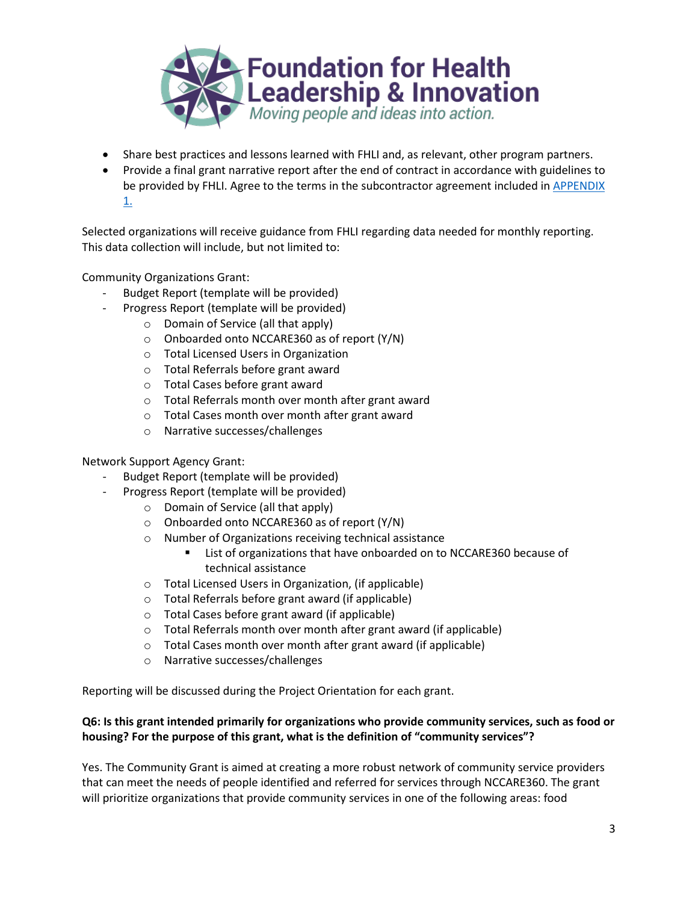

- Share best practices and lessons learned with FHLI and, as relevant, other program partners.
- Provide a final grant narrative report after the end of contract in accordance with guidelines to be provided by FHLI. Agree to the terms in the subcontractor agreement included in APPENDIX [1.](https://docs.google.com/document/d/1tJ1Zdwok3KPHUmil8NNfL-Q2kObvVY9wR5A7y99CJaI/edit)

Selected organizations will receive guidance from FHLI regarding data needed for monthly reporting. This data collection will include, but not limited to:

Community Organizations Grant:

- Budget Report (template will be provided)
- Progress Report (template will be provided)
	- o Domain of Service (all that apply)
	- o Onboarded onto NCCARE360 as of report (Y/N)
	- o Total Licensed Users in Organization
	- o Total Referrals before grant award
	- o Total Cases before grant award
	- o Total Referrals month over month after grant award
	- o Total Cases month over month after grant award
	- o Narrative successes/challenges

Network Support Agency Grant:

- Budget Report (template will be provided)
- Progress Report (template will be provided)
	- o Domain of Service (all that apply)
	- o Onboarded onto NCCARE360 as of report (Y/N)
	- o Number of Organizations receiving technical assistance
		- List of organizations that have onboarded on to NCCARE360 because of technical assistance
	- o Total Licensed Users in Organization, (if applicable)
	- o Total Referrals before grant award (if applicable)
	- o Total Cases before grant award (if applicable)
	- o Total Referrals month over month after grant award (if applicable)
	- o Total Cases month over month after grant award (if applicable)
	- o Narrative successes/challenges

Reporting will be discussed during the Project Orientation for each grant.

## **Q6: Is this grant intended primarily for organizations who provide community services, such as food or housing? For the purpose of this grant, what is the definition of "community services"?**

Yes. The Community Grant is aimed at creating a more robust network of community service providers that can meet the needs of people identified and referred for services through NCCARE360. The grant will prioritize organizations that provide community services in one of the following areas: food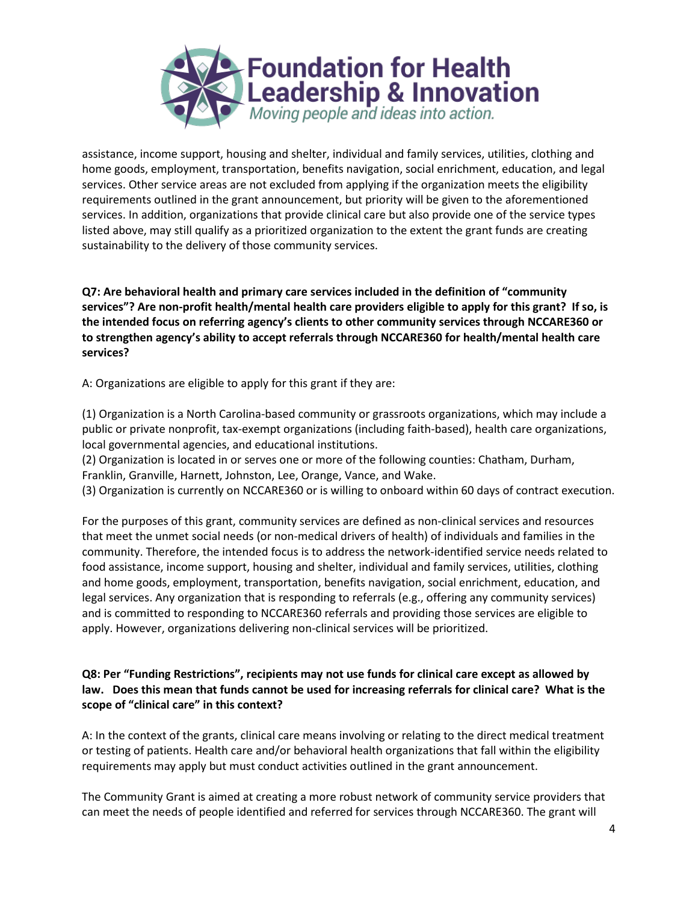

assistance, income support, housing and shelter, individual and family services, utilities, clothing and home goods, employment, transportation, benefits navigation, social enrichment, education, and legal services. Other service areas are not excluded from applying if the organization meets the eligibility requirements outlined in the grant announcement, but priority will be given to the aforementioned services. In addition, organizations that provide clinical care but also provide one of the service types listed above, may still qualify as a prioritized organization to the extent the grant funds are creating sustainability to the delivery of those community services.

**Q7: Are behavioral health and primary care services included in the definition of "community services"? Are non-profit health/mental health care providers eligible to apply for this grant? If so, is the intended focus on referring agency's clients to other community services through NCCARE360 or to strengthen agency's ability to accept referrals through NCCARE360 for health/mental health care services?**

A: Organizations are eligible to apply for this grant if they are:

(1) Organization is a North Carolina-based community or grassroots organizations, which may include a public or private nonprofit, tax-exempt organizations (including faith-based), health care organizations, local governmental agencies, and educational institutions.

(2) Organization is located in or serves one or more of the following counties: Chatham, Durham, Franklin, Granville, Harnett, Johnston, Lee, Orange, Vance, and Wake.

(3) Organization is currently on NCCARE360 or is willing to onboard within 60 days of contract execution.

For the purposes of this grant, community services are defined as non-clinical services and resources that meet the unmet social needs (or non-medical drivers of health) of individuals and families in the community. Therefore, the intended focus is to address the network-identified service needs related to food assistance, income support, housing and shelter, individual and family services, utilities, clothing and home goods, employment, transportation, benefits navigation, social enrichment, education, and legal services. Any organization that is responding to referrals (e.g., offering any community services) and is committed to responding to NCCARE360 referrals and providing those services are eligible to apply. However, organizations delivering non-clinical services will be prioritized.

## **Q8: Per "Funding Restrictions", recipients may not use funds for clinical care except as allowed by law. Does this mean that funds cannot be used for increasing referrals for clinical care? What is the scope of "clinical care" in this context?**

A: In the context of the grants, clinical care means involving or relating to the direct medical treatment or testing of patients. Health care and/or behavioral health organizations that fall within the eligibility requirements may apply but must conduct activities outlined in the grant announcement.

The Community Grant is aimed at creating a more robust network of community service providers that can meet the needs of people identified and referred for services through NCCARE360. The grant will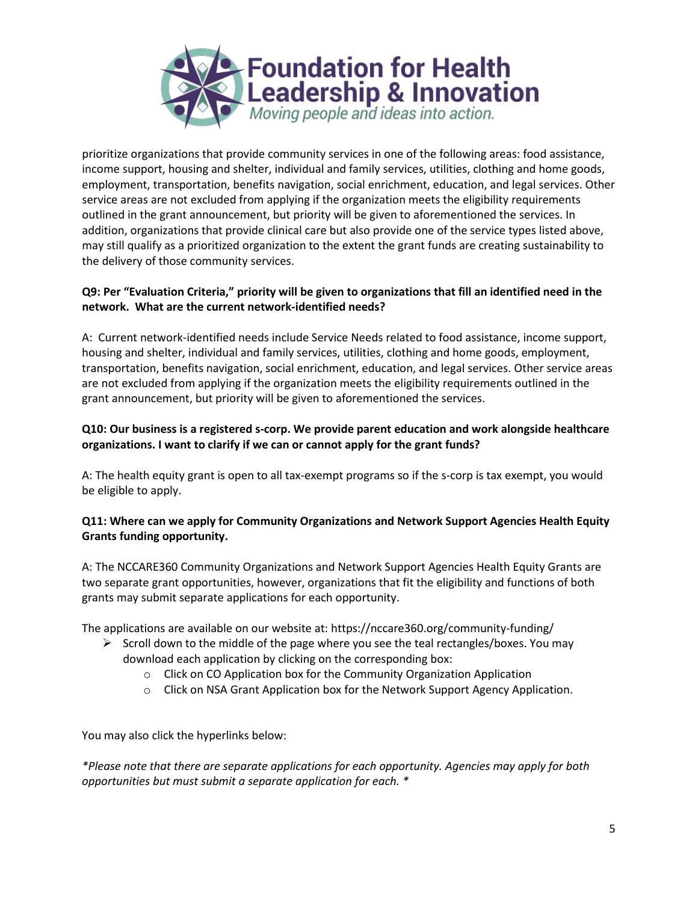

prioritize organizations that provide community services in one of the following areas: food assistance, income support, housing and shelter, individual and family services, utilities, clothing and home goods, employment, transportation, benefits navigation, social enrichment, education, and legal services. Other service areas are not excluded from applying if the organization meets the eligibility requirements outlined in the grant announcement, but priority will be given to aforementioned the services. In addition, organizations that provide clinical care but also provide one of the service types listed above, may still qualify as a prioritized organization to the extent the grant funds are creating sustainability to the delivery of those community services.

# Q9: Per "Evaluation Criteria," priority will be given to organizations that fill an identified need in the **network. What are the current network-identified needs?**

A: Current network-identified needs include Service Needs related to food assistance, income support, housing and shelter, individual and family services, utilities, clothing and home goods, employment, transportation, benefits navigation, social enrichment, education, and legal services. Other service areas are not excluded from applying if the organization meets the eligibility requirements outlined in the grant announcement, but priority will be given to aforementioned the services.

# **Q10: Our business is a registered s-corp. We provide parent education and work alongside healthcare organizations. I want to clarify if we can or cannot apply for the grant funds?**

A: The health equity grant is open to all tax-exempt programs so if the s-corp is tax exempt, you would be eligible to apply.

# **Q11: Where can we apply for Community Organizations and Network Support Agencies Health Equity Grants funding opportunity.**

A: The NCCARE360 Community Organizations and Network Support Agencies Health Equity Grants are two separate grant opportunities, however, organizations that fit the eligibility and functions of both grants may submit separate applications for each opportunity.

The applications are available on our website at: https://nccare360.org/community-funding/

- $\triangleright$  Scroll down to the middle of the page where you see the teal rectangles/boxes. You may download each application by clicking on the corresponding box:
	- o Click on CO Application box for the Community Organization Application
	- o Click on NSA Grant Application box for the Network Support Agency Application.

You may also click the hyperlinks below:

*\*Please note that there are separate applications for each opportunity. Agencies may apply for both opportunities but must submit a separate application for each. \**